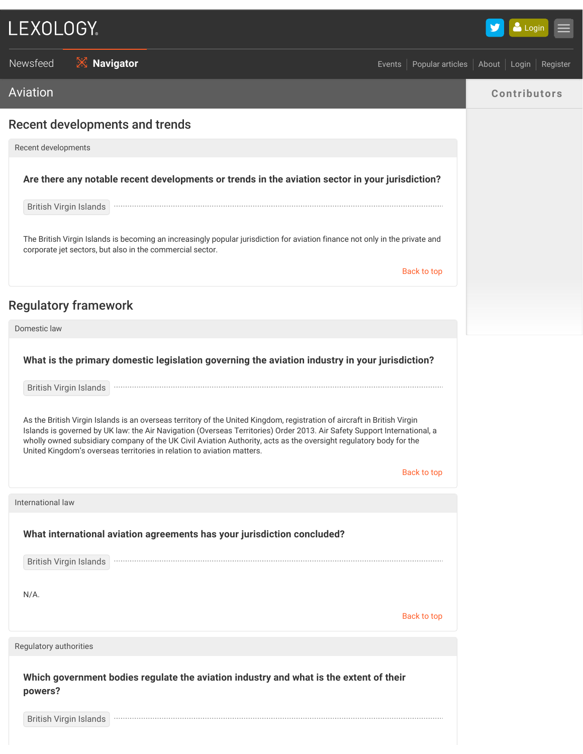# LEXOLOGY.

 $\blacksquare$ Login

Newsfeed **X Navigator CONFIDENTIAL EVENTS About Login Register** Newsfeed About Login Register Aviation **Contributors** Recent developments and trends Recent developments **Are there any notable recent developments or trends in the aviation sector in your jurisdiction?** British Virgin Islands The British Virgin Islands is becoming an increasingly popular jurisdiction for aviation finance not only in the private and corporate jet sectors, but also in the commercial sector. Back to top Regulatory framework Domestic law **What is the primary domestic legislation governing the aviation industry in your jurisdiction?** British Virgin Islands As the British Virgin Islands is an overseas territory of the United Kingdom, registration of aircraft in British Virgin Islands is governed by UK law: the Air Navigation (Overseas Territories) Order 2013. Air Safety Support International, a wholly owned subsidiary company of the UK Civil Aviation Authority, acts as the oversight regulatory body for the United Kingdom's overseas territories in relation to aviation matters. Back to top International law **What international aviation agreements has your jurisdiction concluded?** British Virgin Islands N/A. Back to top Regulatory authorities **Which government bodies regulate the aviation industry and what is the extent of their powers?**

British Virgin Islands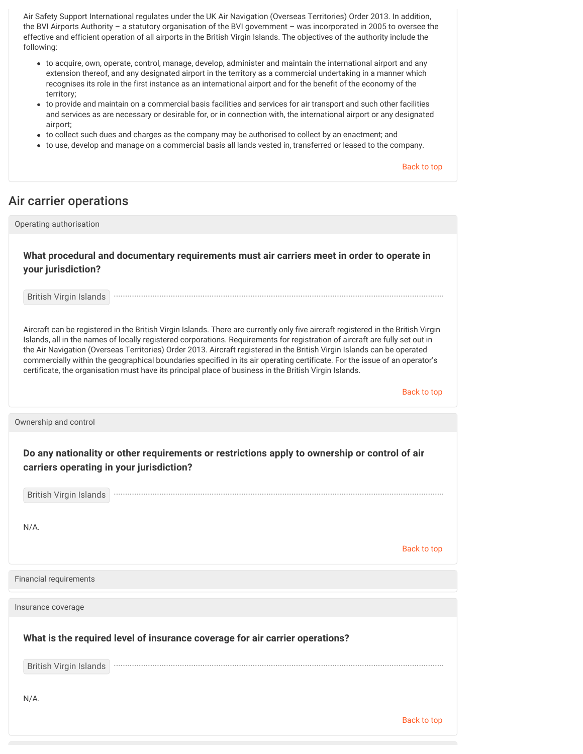Air Safety Support International regulates under the UK Air Navigation (Overseas Territories) Order 2013. In addition, the BVI Airports Authority – a statutory organisation of the BVI government – was incorporated in 2005 to oversee the effective and efficient operation of all airports in the British Virgin Islands. The objectives of the authority include the following:

- to acquire, own, operate, control, manage, develop, administer and maintain the international airport and any extension thereof, and any designated airport in the territory as a commercial undertaking in a manner which recognises its role in the first instance as an international airport and for the benefit of the economy of the territory;
- to provide and maintain on a commercial basis facilities and services for air transport and such other facilities and services as are necessary or desirable for, or in connection with, the international airport or any designated airport;
- to collect such dues and charges as the company may be authorised to collect by an enactment; and
- to use, develop and manage on a commercial basis all lands vested in, transferred or leased to the company.

Back to top

### Air carrier operations

Operating authorisation

**What procedural and documentary requirements must air carriers meet in order to operate in your jurisdiction?**

British Virgin Islands

Aircraft can be registered in the British Virgin Islands. There are currently only five aircraft registered in the British Virgin Islands, all in the names of locally registered corporations. Requirements for registration of aircraft are fully set out in the Air Navigation (Overseas Territories) Order 2013. Aircraft registered in the British Virgin Islands can be operated commercially within the geographical boundaries specified in its air operating certificate. For the issue of an operator's certificate, the organisation must have its principal place of business in the British Virgin Islands.

Back to top

Ownership and control

**Do any nationality or other requirements or restrictions apply to ownership or control of air carriers operating in your jurisdiction?**

British Virgin Islands 

N/A.

Back to top

Financial requirements

Insurance coverage

**What is the required level of insurance coverage for air carrier operations?**

British Virgin Islands

N/A.

Back to top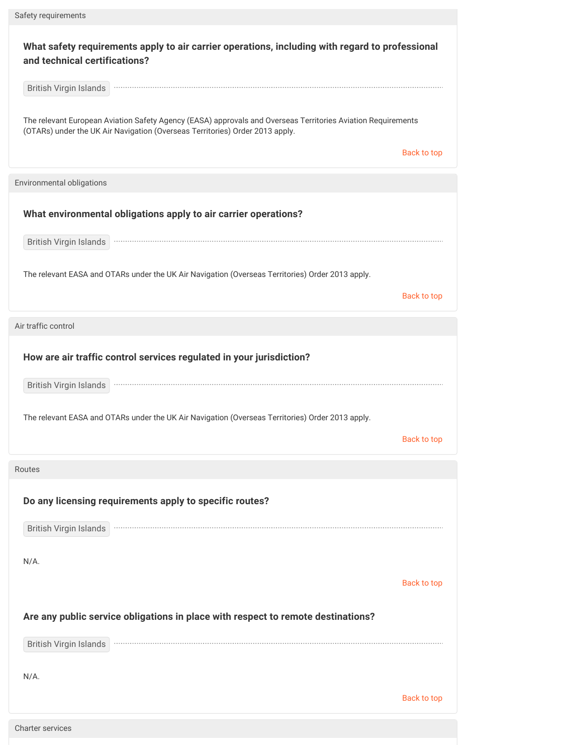| What safety requirements apply to air carrier operations, including with regard to professional<br>and technical certifications?<br>British Virgin Islands<br>The relevant European Aviation Safety Agency (EASA) approvals and Overseas Territories Aviation Requirements<br>(OTARs) under the UK Air Navigation (Overseas Territories) Order 2013 apply.<br><b>Back to top</b><br>What environmental obligations apply to air carrier operations?<br>British Virgin Islands<br>The relevant EASA and OTARs under the UK Air Navigation (Overseas Territories) Order 2013 apply.<br><b>Back to top</b><br>How are air traffic control services regulated in your jurisdiction?<br>British Virgin Islands<br>The relevant EASA and OTARs under the UK Air Navigation (Overseas Territories) Order 2013 apply.<br><b>Back to top</b><br>Do any licensing requirements apply to specific routes?<br>British Virgin Islands<br>$N/A$ .<br><b>Back to top</b><br>Are any public service obligations in place with respect to remote destinations?<br><b>British Virgin Islands</b> | Safety requirements       |  |  |
|--------------------------------------------------------------------------------------------------------------------------------------------------------------------------------------------------------------------------------------------------------------------------------------------------------------------------------------------------------------------------------------------------------------------------------------------------------------------------------------------------------------------------------------------------------------------------------------------------------------------------------------------------------------------------------------------------------------------------------------------------------------------------------------------------------------------------------------------------------------------------------------------------------------------------------------------------------------------------------------------------------------------------------------------------------------------------------|---------------------------|--|--|
|                                                                                                                                                                                                                                                                                                                                                                                                                                                                                                                                                                                                                                                                                                                                                                                                                                                                                                                                                                                                                                                                                |                           |  |  |
|                                                                                                                                                                                                                                                                                                                                                                                                                                                                                                                                                                                                                                                                                                                                                                                                                                                                                                                                                                                                                                                                                |                           |  |  |
|                                                                                                                                                                                                                                                                                                                                                                                                                                                                                                                                                                                                                                                                                                                                                                                                                                                                                                                                                                                                                                                                                |                           |  |  |
|                                                                                                                                                                                                                                                                                                                                                                                                                                                                                                                                                                                                                                                                                                                                                                                                                                                                                                                                                                                                                                                                                | Environmental obligations |  |  |
|                                                                                                                                                                                                                                                                                                                                                                                                                                                                                                                                                                                                                                                                                                                                                                                                                                                                                                                                                                                                                                                                                |                           |  |  |
|                                                                                                                                                                                                                                                                                                                                                                                                                                                                                                                                                                                                                                                                                                                                                                                                                                                                                                                                                                                                                                                                                |                           |  |  |
|                                                                                                                                                                                                                                                                                                                                                                                                                                                                                                                                                                                                                                                                                                                                                                                                                                                                                                                                                                                                                                                                                |                           |  |  |
|                                                                                                                                                                                                                                                                                                                                                                                                                                                                                                                                                                                                                                                                                                                                                                                                                                                                                                                                                                                                                                                                                |                           |  |  |
|                                                                                                                                                                                                                                                                                                                                                                                                                                                                                                                                                                                                                                                                                                                                                                                                                                                                                                                                                                                                                                                                                | Air traffic control       |  |  |
|                                                                                                                                                                                                                                                                                                                                                                                                                                                                                                                                                                                                                                                                                                                                                                                                                                                                                                                                                                                                                                                                                |                           |  |  |
|                                                                                                                                                                                                                                                                                                                                                                                                                                                                                                                                                                                                                                                                                                                                                                                                                                                                                                                                                                                                                                                                                |                           |  |  |
|                                                                                                                                                                                                                                                                                                                                                                                                                                                                                                                                                                                                                                                                                                                                                                                                                                                                                                                                                                                                                                                                                |                           |  |  |
|                                                                                                                                                                                                                                                                                                                                                                                                                                                                                                                                                                                                                                                                                                                                                                                                                                                                                                                                                                                                                                                                                |                           |  |  |
|                                                                                                                                                                                                                                                                                                                                                                                                                                                                                                                                                                                                                                                                                                                                                                                                                                                                                                                                                                                                                                                                                | Routes                    |  |  |
|                                                                                                                                                                                                                                                                                                                                                                                                                                                                                                                                                                                                                                                                                                                                                                                                                                                                                                                                                                                                                                                                                |                           |  |  |
|                                                                                                                                                                                                                                                                                                                                                                                                                                                                                                                                                                                                                                                                                                                                                                                                                                                                                                                                                                                                                                                                                |                           |  |  |
|                                                                                                                                                                                                                                                                                                                                                                                                                                                                                                                                                                                                                                                                                                                                                                                                                                                                                                                                                                                                                                                                                |                           |  |  |
|                                                                                                                                                                                                                                                                                                                                                                                                                                                                                                                                                                                                                                                                                                                                                                                                                                                                                                                                                                                                                                                                                |                           |  |  |
|                                                                                                                                                                                                                                                                                                                                                                                                                                                                                                                                                                                                                                                                                                                                                                                                                                                                                                                                                                                                                                                                                |                           |  |  |
|                                                                                                                                                                                                                                                                                                                                                                                                                                                                                                                                                                                                                                                                                                                                                                                                                                                                                                                                                                                                                                                                                |                           |  |  |
|                                                                                                                                                                                                                                                                                                                                                                                                                                                                                                                                                                                                                                                                                                                                                                                                                                                                                                                                                                                                                                                                                |                           |  |  |
| $N/A$ .                                                                                                                                                                                                                                                                                                                                                                                                                                                                                                                                                                                                                                                                                                                                                                                                                                                                                                                                                                                                                                                                        |                           |  |  |
| <b>Back to top</b>                                                                                                                                                                                                                                                                                                                                                                                                                                                                                                                                                                                                                                                                                                                                                                                                                                                                                                                                                                                                                                                             |                           |  |  |
|                                                                                                                                                                                                                                                                                                                                                                                                                                                                                                                                                                                                                                                                                                                                                                                                                                                                                                                                                                                                                                                                                | <b>Charter services</b>   |  |  |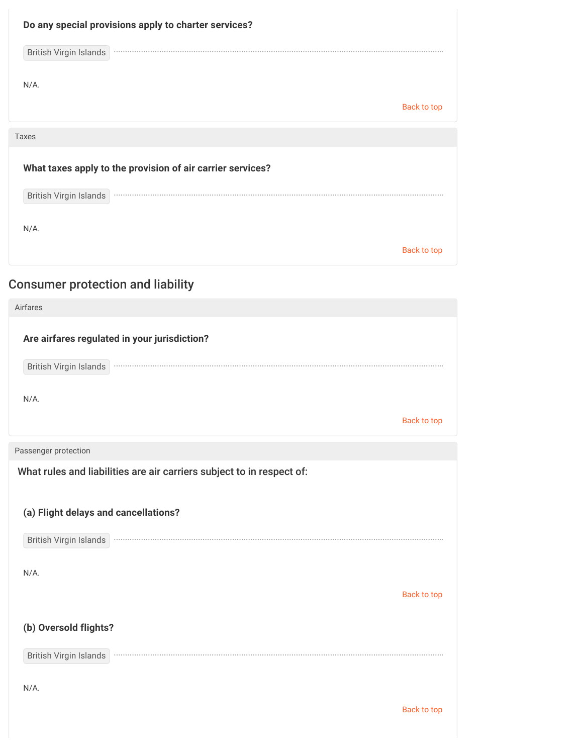| Do any special provisions apply to charter services?<br>British Virgin Islands |                    |
|--------------------------------------------------------------------------------|--------------------|
| $N/A$ .                                                                        | <b>Back to top</b> |
|                                                                                |                    |
| <b>Taxes</b>                                                                   |                    |
| What taxes apply to the provision of air carrier services?                     |                    |
| British Virgin Islands                                                         |                    |
|                                                                                |                    |
| $N/A$ .                                                                        |                    |
|                                                                                | Back to top        |
|                                                                                |                    |

# Consumer protection and liability

| Airfares                                                                                                                                                  |                    |
|-----------------------------------------------------------------------------------------------------------------------------------------------------------|--------------------|
| Are airfares regulated in your jurisdiction?<br>British Virgin Islands                                                                                    |                    |
| $N/A$ .                                                                                                                                                   |                    |
|                                                                                                                                                           | <b>Back to top</b> |
| Passenger protection                                                                                                                                      |                    |
| What rules and liabilities are air carriers subject to in respect of:<br>(a) Flight delays and cancellations?<br><b>British Virgin Islands</b><br>$N/A$ . |                    |
|                                                                                                                                                           | <b>Back to top</b> |
| (b) Oversold flights?                                                                                                                                     |                    |
| British Virgin Islands                                                                                                                                    |                    |
| $N/A$ .                                                                                                                                                   |                    |
|                                                                                                                                                           | <b>Back to top</b> |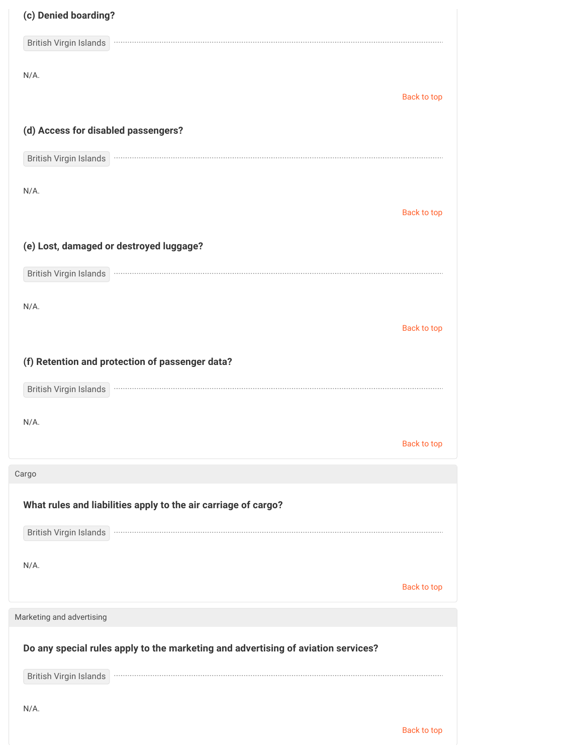| (c) Denied boarding?                                                                                                                                                                                                                                                                    |                    |
|-----------------------------------------------------------------------------------------------------------------------------------------------------------------------------------------------------------------------------------------------------------------------------------------|--------------------|
| British Virgin Islands                                                                                                                                                                                                                                                                  |                    |
| $N/A$ .                                                                                                                                                                                                                                                                                 |                    |
|                                                                                                                                                                                                                                                                                         | Back to top        |
| (d) Access for disabled passengers?                                                                                                                                                                                                                                                     |                    |
| British Virgin Islands                                                                                                                                                                                                                                                                  |                    |
| $N/A$ .                                                                                                                                                                                                                                                                                 |                    |
|                                                                                                                                                                                                                                                                                         | Back to top        |
| (e) Lost, damaged or destroyed luggage?                                                                                                                                                                                                                                                 |                    |
| British Virgin Islands                                                                                                                                                                                                                                                                  |                    |
| $N/A$ .                                                                                                                                                                                                                                                                                 |                    |
|                                                                                                                                                                                                                                                                                         | Back to top        |
| (f) Retention and protection of passenger data?                                                                                                                                                                                                                                         |                    |
| <b>British Virgin Islands</b>                                                                                                                                                                                                                                                           |                    |
|                                                                                                                                                                                                                                                                                         |                    |
| $N/A$ .                                                                                                                                                                                                                                                                                 | <b>Back to top</b> |
| Cargo                                                                                                                                                                                                                                                                                   |                    |
| What rules and liabilities apply to the air carriage of cargo?                                                                                                                                                                                                                          |                    |
| <b>British Virgin Islands</b><br>$\label{eq:3.1} \begin{split} \mathcal{L}_{\mathcal{A}}(\mathbf{r},\mathbf{r}) & = \mathcal{L}_{\mathcal{A}}(\mathbf{r},\mathbf{r}) + \mathcal{L}_{\mathcal{A}}(\mathbf{r},\mathbf{r}) + \mathcal{L}_{\mathcal{A}}(\mathbf{r},\mathbf{r}) \end{split}$ |                    |
|                                                                                                                                                                                                                                                                                         |                    |
| $N/A$ .                                                                                                                                                                                                                                                                                 | <b>Back to top</b> |
| Marketing and advertising                                                                                                                                                                                                                                                               |                    |
|                                                                                                                                                                                                                                                                                         |                    |
| Do any special rules apply to the marketing and advertising of aviation services?                                                                                                                                                                                                       |                    |
| British Virgin Islands                                                                                                                                                                                                                                                                  |                    |
| $N/A$ .                                                                                                                                                                                                                                                                                 |                    |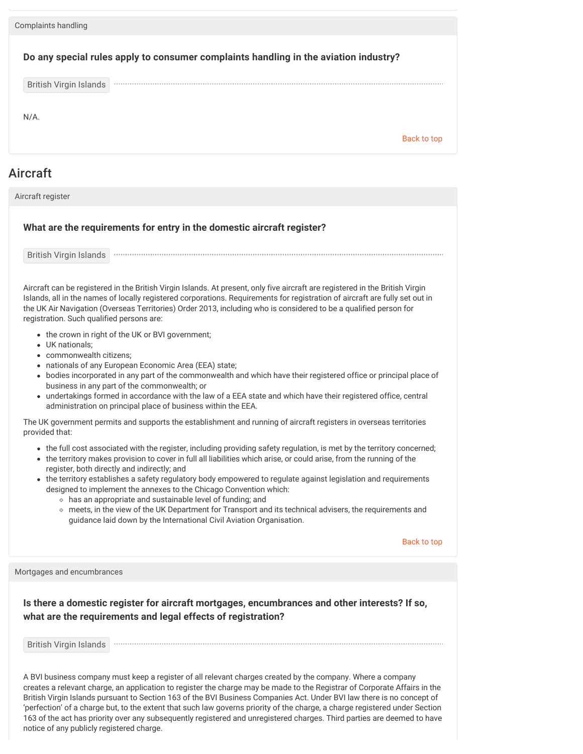| Complaints handling           |                                                                                      |             |
|-------------------------------|--------------------------------------------------------------------------------------|-------------|
|                               | Do any special rules apply to consumer complaints handling in the aviation industry? |             |
| <b>British Virgin Islands</b> |                                                                                      |             |
| $N/A$ .                       |                                                                                      | Back to top |
|                               |                                                                                      |             |

### Aircraft

Aircraft register

#### **What are the requirements for entry in the domestic aircraft register?**

British Virgin Islands

Aircraft can be registered in the British Virgin Islands. At present, only five aircraft are registered in the British Virgin Islands, all in the names of locally registered corporations. Requirements for registration of aircraft are fully set out in the UK Air Navigation (Overseas Territories) Order 2013, including who is considered to be a qualified person for registration. Such qualified persons are:

- the crown in right of the UK or BVI government;
- UK nationals;
- commonwealth citizens;
- nationals of any European Economic Area (EEA) state;
- bodies incorporated in any part of the commonwealth and which have their registered office or principal place of business in any part of the commonwealth; or
- undertakings formed in accordance with the law of a EEA state and which have their registered office, central administration on principal place of business within the EEA.

The UK government permits and supports the establishment and running of aircraft registers in overseas territories provided that:

- the full cost associated with the register, including providing safety regulation, is met by the territory concerned;
- the territory makes provision to cover in full all liabilities which arise, or could arise, from the running of the register, both directly and indirectly; and
- the territory establishes a safety regulatory body empowered to regulate against legislation and requirements designed to implement the annexes to the Chicago Convention which:
	- has an appropriate and sustainable level of funding; and
	- meets, in the view of the UK Department for Transport and its technical advisers, the requirements and guidance laid down by the International Civil Aviation Organisation.

Back to top

Mortgages and encumbrances

**Is there a domestic register for aircraft mortgages, encumbrances and other interests? If so, what are the requirements and legal effects of registration?**

British Virgin Islands

A BVI business company must keep a register of all relevant charges created by the company. Where a company creates a relevant charge, an application to register the charge may be made to the Registrar of Corporate Affairs in the British Virgin Islands pursuant to Section 163 of the BVI Business Companies Act. Under BVI law there is no concept of 'perfection' of a charge but, to the extent that such law governs priority of the charge, a charge registered under Section 163 of the act has priority over any subsequently registered and unregistered charges. Third parties are deemed to have notice of any publicly registered charge.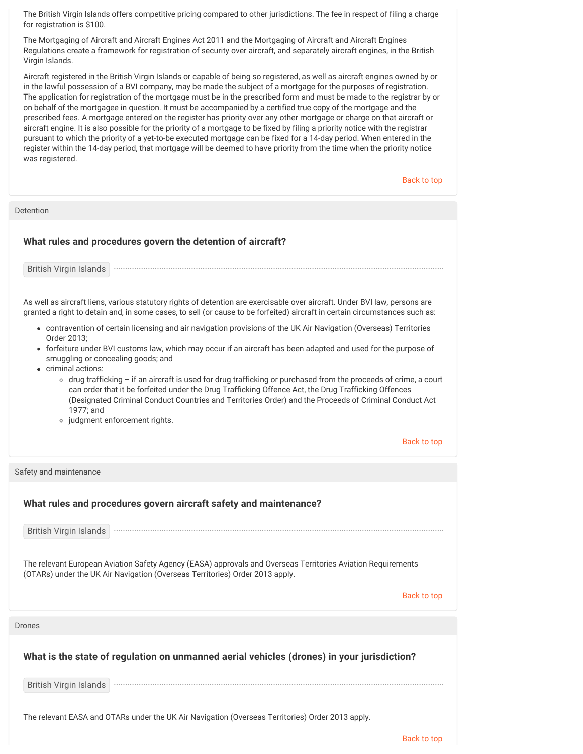The British Virgin Islands offers competitive pricing compared to other jurisdictions. The fee in respect of filing a charge for registration is \$100.

The Mortgaging of Aircraft and Aircraft Engines Act 2011 and the Mortgaging of Aircraft and Aircraft Engines Regulations create a framework for registration of security over aircraft, and separately aircraft engines, in the British Virgin Islands.

Aircraft registered in the British Virgin Islands or capable of being so registered, as well as aircraft engines owned by or in the lawful possession of a BVI company, may be made the subject of a mortgage for the purposes of registration. The application for registration of the mortgage must be in the prescribed form and must be made to the registrar by or on behalf of the mortgagee in question. It must be accompanied by a certified true copy of the mortgage and the prescribed fees. A mortgage entered on the register has priority over any other mortgage or charge on that aircraft or aircraft engine. It is also possible for the priority of a mortgage to be fixed by filing a priority notice with the registrar pursuant to which the priority of a yet-to-be executed mortgage can be fixed for a 14-day period. When entered in the register within the 14-day period, that mortgage will be deemed to have priority from the time when the priority notice was registered.

Back to top

Detention

#### **What rules and procedures govern the detention of aircraft?**

British Virgin Islands

As well as aircraft liens, various statutory rights of detention are exercisable over aircraft. Under BVI law, persons are granted a right to detain and, in some cases, to sell (or cause to be forfeited) aircraft in certain circumstances such as:

- contravention of certain licensing and air navigation provisions of the UK Air Navigation (Overseas) Territories Order 2013;
- forfeiture under BVI customs law, which may occur if an aircraft has been adapted and used for the purpose of smuggling or concealing goods; and
- criminal actions:
	- drug trafficking if an aircraft is used for drug trafficking or purchased from the proceeds of crime, a court can order that it be forfeited under the Drug Trafficking Offence Act, the Drug Trafficking Offences (Designated Criminal Conduct Countries and Territories Order) and the Proceeds of Criminal Conduct Act 1977; and

• judgment enforcement rights.

Back to top

| Safety and maintenance                                                                                                                                                                       |
|----------------------------------------------------------------------------------------------------------------------------------------------------------------------------------------------|
| What rules and procedures govern aircraft safety and maintenance?                                                                                                                            |
| <b>British Virgin Islands</b>                                                                                                                                                                |
| The relevant European Aviation Safety Agency (EASA) approvals and Overseas Territories Aviation Requirements<br>(OTARs) under the UK Air Navigation (Overseas Territories) Order 2013 apply. |
| Back to top                                                                                                                                                                                  |
| <b>Drones</b>                                                                                                                                                                                |
| What is the state of regulation on unmanned aerial vehicles (drones) in your jurisdiction?                                                                                                   |
| <b>British Virgin Islands</b>                                                                                                                                                                |
| The relevant EASA and OTARs under the UK Air Navigation (Overseas Territories) Order 2013 apply.                                                                                             |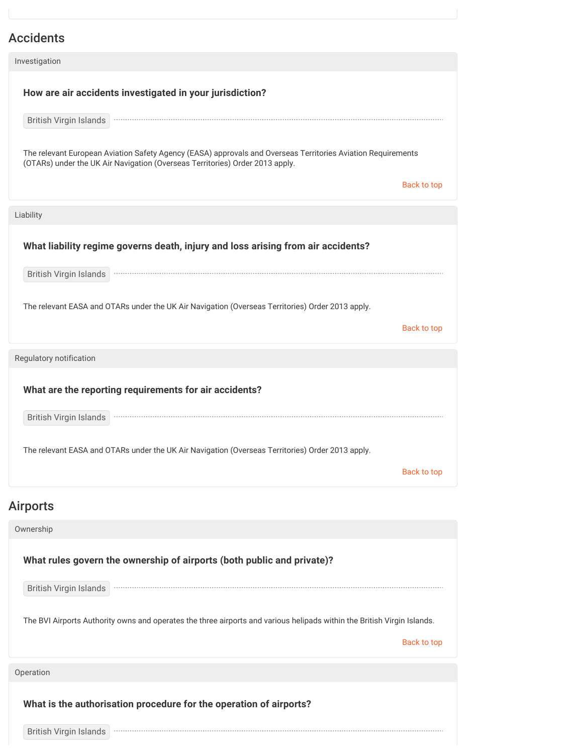## Accidents

| Investigation                                                                                                                                                                                |             |
|----------------------------------------------------------------------------------------------------------------------------------------------------------------------------------------------|-------------|
| How are air accidents investigated in your jurisdiction?                                                                                                                                     |             |
| British Virgin Islands                                                                                                                                                                       |             |
| The relevant European Aviation Safety Agency (EASA) approvals and Overseas Territories Aviation Requirements<br>(OTARs) under the UK Air Navigation (Overseas Territories) Order 2013 apply. |             |
|                                                                                                                                                                                              | Back to top |
| Liability                                                                                                                                                                                    |             |
| What liability regime governs death, injury and loss arising from air accidents?                                                                                                             |             |
| British Virgin Islands                                                                                                                                                                       |             |
| The relevant EASA and OTARs under the UK Air Navigation (Overseas Territories) Order 2013 apply.                                                                                             |             |
|                                                                                                                                                                                              | Back to top |
| Regulatory notification                                                                                                                                                                      |             |
| What are the reporting requirements for air accidents?                                                                                                                                       |             |
| British Virgin Islands <b>Wirds and School and School and School and School and School and School and School and S</b>                                                                       |             |
| The relevant EASA and OTARs under the UK Air Navigation (Overseas Territories) Order 2013 apply.                                                                                             |             |
|                                                                                                                                                                                              | Back to top |

## Airports

| Ownership                                                                                                                              |  |
|----------------------------------------------------------------------------------------------------------------------------------------|--|
| What rules govern the ownership of airports (both public and private)?                                                                 |  |
| British Virgin Islands                                                                                                                 |  |
| The BVI Airports Authority owns and operates the three airports and various helipads within the British Virgin Islands.<br>Back to top |  |
| Operation                                                                                                                              |  |
| What is the authorisation procedure for the operation of airports?                                                                     |  |
| <b>British Virgin Islands</b>                                                                                                          |  |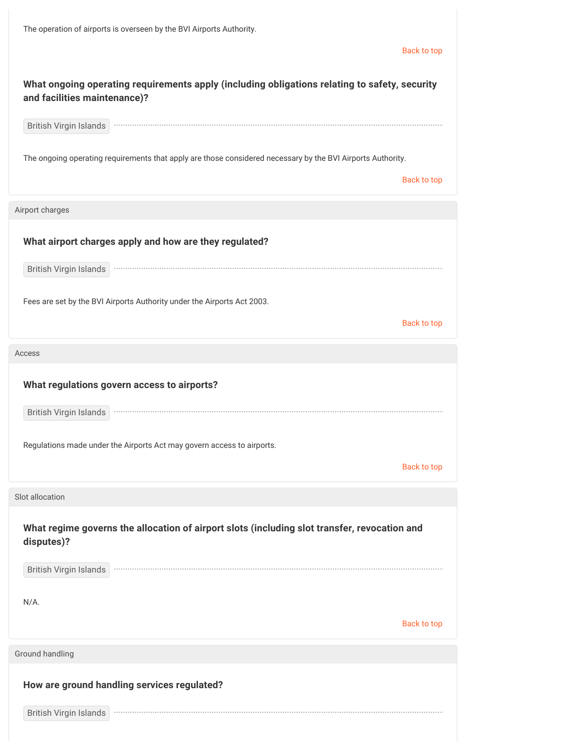| The operation of airports is overseen by the BVI Airports Authority.                                                          |                    |
|-------------------------------------------------------------------------------------------------------------------------------|--------------------|
|                                                                                                                               | <b>Back to top</b> |
| What ongoing operating requirements apply (including obligations relating to safety, security<br>and facilities maintenance)? |                    |
| British Virgin Islands                                                                                                        |                    |
| The ongoing operating requirements that apply are those considered necessary by the BVI Airports Authority.                   | Back to top        |
| Airport charges                                                                                                               |                    |
| What airport charges apply and how are they regulated?                                                                        |                    |
|                                                                                                                               |                    |
| Fees are set by the BVI Airports Authority under the Airports Act 2003.                                                       | Back to top        |
| Access                                                                                                                        |                    |
| What regulations govern access to airports?                                                                                   |                    |
| British Virgin Islands                                                                                                        |                    |
| Regulations made under the Airports Act may govern access to airports.                                                        |                    |
|                                                                                                                               | Back to top        |
| Slot allocation                                                                                                               |                    |
| What regime governs the allocation of airport slots (including slot transfer, revocation and<br>disputes)?                    |                    |
| <b>British Virgin Islands</b>                                                                                                 |                    |
| $N/A$ .                                                                                                                       |                    |
|                                                                                                                               | <b>Back to top</b> |
| Ground handling                                                                                                               |                    |
| How are ground handling services regulated?                                                                                   |                    |
| British Virgin Islands                                                                                                        |                    |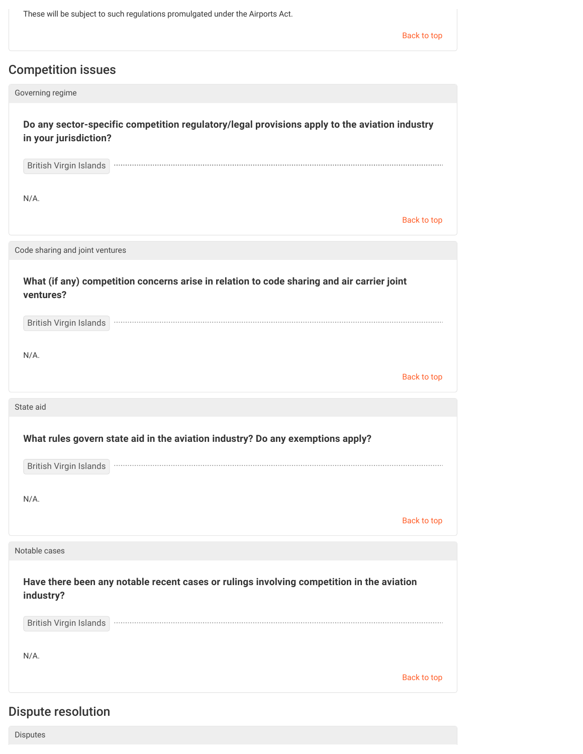These will be subject to such regulations promulgated under the Airports Act.

Back to top

## Competition issues

| Governing regime                                                                                                       |                    |
|------------------------------------------------------------------------------------------------------------------------|--------------------|
| Do any sector-specific competition regulatory/legal provisions apply to the aviation industry<br>in your jurisdiction? |                    |
| <b>British Virgin Islands</b>                                                                                          |                    |
| $N/A$ .                                                                                                                | Back to top        |
| Code sharing and joint ventures                                                                                        |                    |
| What (if any) competition concerns arise in relation to code sharing and air carrier joint<br>ventures?                |                    |
| British Virgin Islands                                                                                                 |                    |
| $N/A$ .                                                                                                                | <b>Back to top</b> |
|                                                                                                                        |                    |
| State aid                                                                                                              |                    |
| What rules govern state aid in the aviation industry? Do any exemptions apply?                                         |                    |
| British Virgin Islands                                                                                                 |                    |
| $N/A$ .                                                                                                                |                    |
|                                                                                                                        | <b>Back to top</b> |
| Notable cases                                                                                                          |                    |
| Have there been any notable recent cases or rulings involving competition in the aviation<br>industry?                 |                    |
| British Virgin Islands                                                                                                 |                    |
| $N/A$ .                                                                                                                |                    |

## Dispute resolution

Disputes